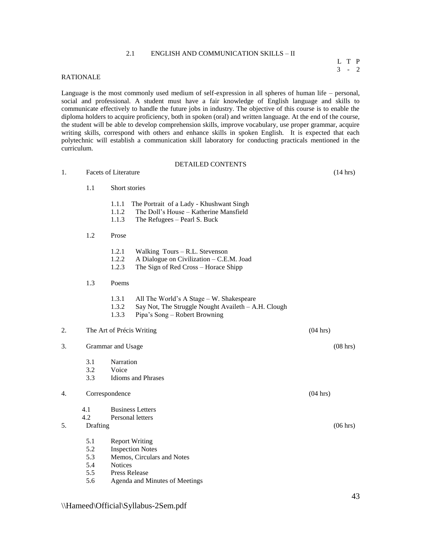# 2.1 ENGLISH AND COMMUNICATION SKILLS – II

#### L T P 3 - 2

# RATIONALE

Language is the most commonly used medium of self-expression in all spheres of human life – personal, social and professional. A student must have a fair knowledge of English language and skills to communicate effectively to handle the future jobs in industry. The objective of this course is to enable the diploma holders to acquire proficiency, both in spoken (oral) and written language. At the end of the course, the student will be able to develop comprehension skills, improve vocabulary, use proper grammar, acquire writing skills, correspond with others and enhance skills in spoken English. It is expected that each polytechnic will establish a communication skill laboratory for conducting practicals mentioned in the curriculum.

|    |                             |                                                  | DETAILED CONTENTS                                                                                                                |                    |                    |
|----|-----------------------------|--------------------------------------------------|----------------------------------------------------------------------------------------------------------------------------------|--------------------|--------------------|
| 1. | <b>Facets of Literature</b> |                                                  |                                                                                                                                  | $(14 \text{ hrs})$ |                    |
|    | 1.1                         | Short stories                                    |                                                                                                                                  |                    |                    |
|    |                             | 1.1.1<br>1.1.2<br>1.1.3                          | The Portrait of a Lady - Khushwant Singh<br>The Doll's House - Katherine Mansfield<br>The Refugees - Pearl S. Buck               |                    |                    |
|    | 1.2                         | Prose                                            |                                                                                                                                  |                    |                    |
|    |                             | 1.2.1<br>1.2.2<br>1.2.3                          | Walking Tours – R.L. Stevenson<br>A Dialogue on Civilization - C.E.M. Joad<br>The Sign of Red Cross - Horace Shipp               |                    |                    |
|    | 1.3                         | Poems                                            |                                                                                                                                  |                    |                    |
|    |                             | 1.3.1<br>1.3.2<br>1.3.3                          | All The World's A Stage – W. Shakespeare<br>Say Not, The Struggle Nought Availeth - A.H. Clough<br>Pipa's Song – Robert Browning |                    |                    |
| 2. |                             | The Art of Précis Writing                        |                                                                                                                                  | (04 hrs)           |                    |
| 3. |                             | Grammar and Usage                                |                                                                                                                                  |                    | $(08 \text{ hrs})$ |
|    | 3.1<br>3.2<br>3.3           | Narration<br>Voice<br><b>Idioms</b> and Phrases  |                                                                                                                                  |                    |                    |
| 4. |                             | Correspondence                                   |                                                                                                                                  | (04 hrs)           |                    |
| 5. | 4.1<br>4.2                  | <b>Business Letters</b><br>Personal letters      |                                                                                                                                  |                    | $(06 \text{ hrs})$ |
|    | Drafting                    |                                                  |                                                                                                                                  |                    |                    |
|    | 5.1<br>5.2<br>5.3           | <b>Report Writing</b><br><b>Inspection Notes</b> | Memos, Circulars and Notes                                                                                                       |                    |                    |
|    | 5.4<br>5.5                  | <b>Notices</b><br><b>Press Release</b>           |                                                                                                                                  |                    |                    |
|    |                             |                                                  |                                                                                                                                  |                    |                    |

5.6 Agenda and Minutes of Meetings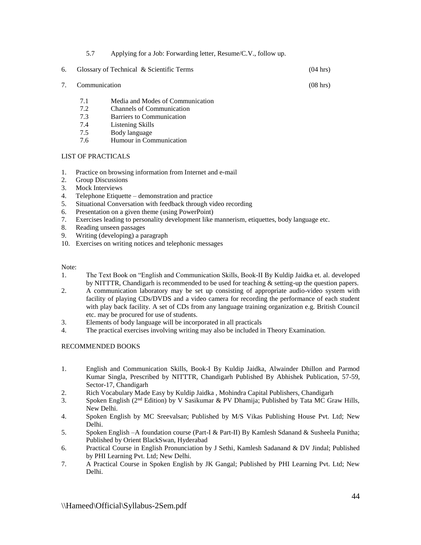|    | 5.7           | Applying for a Job: Forwarding letter, Resume/C.V., follow up. |                    |
|----|---------------|----------------------------------------------------------------|--------------------|
| 6. |               | Glossary of Technical & Scientific Terms                       | $(04 \text{ hrs})$ |
| 7. | Communication |                                                                | $(08 \text{ hrs})$ |

- 7.1 Media and Modes of Communication
- 7.2 Channels of Communication
- 7.3 Barriers to Communication
- 7.4 Listening Skills
- 7.5 Body language
- 7.6 Humour in Communication

# LIST OF PRACTICALS

- 1. Practice on browsing information from Internet and e-mail
- 2. Group Discussions
- 3. Mock Interviews
- 4. Telephone Etiquette demonstration and practice
- 5. Situational Conversation with feedback through video recording
- 6. Presentation on a given theme (using PowerPoint)
- 7. Exercises leading to personality development like mannerism, etiquettes, body language etc.
- 8. Reading unseen passages
- 9. Writing (developing) a paragraph
- 10. Exercises on writing notices and telephonic messages

# Note:

- 1. The Text Book on "English and Communication Skills, Book-II By Kuldip Jaidka et. al. developed by NITTTR, Chandigarh is recommended to be used for teaching & setting-up the question papers.
- 2. A communication laboratory may be set up consisting of appropriate audio-video system with facility of playing CDs/DVDS and a video camera for recording the performance of each student with play back facility. A set of CDs from any language training organization e.g. British Council etc. may be procured for use of students.
- 3. Elements of body language will be incorporated in all practicals
- 4. The practical exercises involving writing may also be included in Theory Examination.

- 1. English and Communication Skills, Book-I By Kuldip Jaidka, Alwainder Dhillon and Parmod Kumar Singla, Prescribed by NITTTR, Chandigarh Published By Abhishek Publication, 57-59, Sector-17, Chandigarh
- 2. Rich Vocabulary Made Easy by Kuldip Jaidka , Mohindra Capital Publishers, Chandigarh
- 3. Spoken English (2nd Edition) by V Sasikumar & PV Dhamija; Published by Tata MC Graw Hills, New Delhi.
- 4. Spoken English by MC Sreevalsan; Published by M/S Vikas Publishing House Pvt. Ltd; New Delhi.
- 5. Spoken English –A foundation course (Part-I & Part-II) By Kamlesh Sdanand & Susheela Punitha; Published by Orient BlackSwan, Hyderabad
- 6. Practical Course in English Pronunciation by J Sethi, Kamlesh Sadanand & DV Jindal; Published by PHI Learning Pvt. Ltd; New Delhi.
- 7. A Practical Course in Spoken English by JK Gangal; Published by PHI Learning Pvt. Ltd; New Delhi.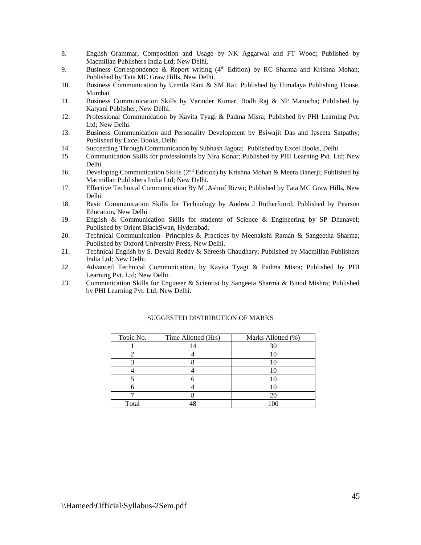- 8. English Grammar, Composition and Usage by NK Aggarwal and FT Wood; Published by Macmillan Publishers India Ltd; New Delhi.
- 9. Business Correspondence & Report writing  $(4<sup>th</sup> Edition)$  by RC Sharma and Krishna Mohan; Published by Tata MC Graw Hills, New Delhi.
- 10. Business Communication by Urmila Rani & SM Rai; Published by Himalaya Publishing House, Mumbai.
- 11. Business Communication Skills by Varinder Kumar, Bodh Raj & NP Manocha; Published by Kalyani Publisher, New Delhi.
- 12. Professional Communication by Kavita Tyagi & Padma Misra; Published by PHI Learning Pvt. Ltd; New Delhi.
- 13. Business Communication and Personality Development by Bsiwajit Das and Ipseeta Satpathy; Published by Excel Books, Delhi
- 14. Succeeding Through Communication by Subhash Jagota; Published by Excel Books, Delhi
- 15. Communication Skills for professionals by Nira Konar; Published by PHI Learning Pvt. Ltd; New Delhi.
- 16. Developing Communication Skills (2<sup>nd</sup> Edition) by Krishna Mohan & Meera Banerji; Published by Macmillan Publishers India Ltd; New Delhi.
- 17. Effective Technical Communication By M .Ashraf Rizwi; Published by Tata MC Graw Hills, New Delhi.
- 18. Basic Communication Skills for Technology by Andrea J Rutherfoord; Published by Pearson Education, New Delhi
- 19. English & Communication Skills for students of Science & Engineering by SP Dhanavel; Published by Orient BlackSwan, Hyderabad.
- 20. Technical Communication- Principles & Practices by Meenakshi Raman & Sangeetha Sharma; Published by Oxford University Press, New Delhi.
- 21. Technical English by S. Devaki Reddy & Shreesh Chaudhary; Published by Macmillan Publishers India Ltd; New Delhi.
- 22. Advanced Technical Communication, by Kavita Tyagi & Padma Misra; Published by PHI Learning Pvt. Ltd; New Delhi.
- 23. Communication Skills for Engineer & Scientist by Sangeeta Sharma & Binod Mishra; Published by PHI Learning Pvt. Ltd; New Delhi.

| Topic No. | Time Allotted (Hrs) | Marks Allotted (%) |
|-----------|---------------------|--------------------|
|           | ι4                  |                    |
|           |                     |                    |
|           |                     |                    |
|           |                     |                    |
|           |                     |                    |
|           |                     |                    |
|           |                     |                    |
| Total     |                     |                    |

# SUGGESTED DISTRIBUTION OF MARKS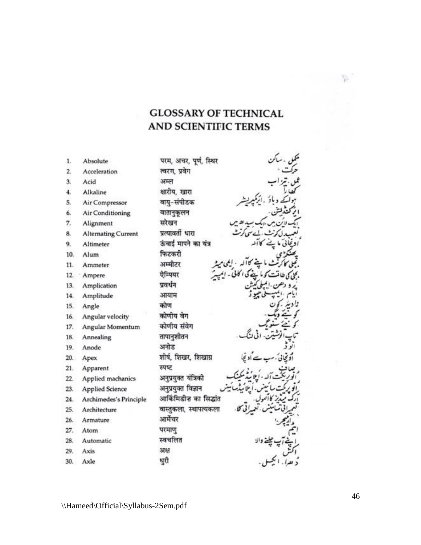# **GLOSSARY OF TECHNICAL** AND SCIENTIFIC TERMS

| 1.  | Absolute                   | परम, अचर, पूर्ण, स्थिर |
|-----|----------------------------|------------------------|
| 2.  | Acceleration               | त्वरण, प्रवेग          |
| 3.  | Acid                       | अम्ल                   |
| 4.  | Alkaline                   | क्षारीय, खारा          |
| 5.  | Air Compressor             | वाय्-संपीडक            |
| 6.  | Air Conditioning           | वातानुकूलन             |
| 7.  |                            | सरेखन                  |
|     | Alignment                  | प्रत्यावर्ती धारा      |
| 8.  | <b>Alternating Current</b> |                        |
| 9.  | Altimeter                  | ऊंचाई मापने का यंत्र   |
| 10. | Alum                       | फिटकरी                 |
| 11. | Ammeter                    | अम्मीटर                |
| 12. | Ampere                     | ऐम्पियर                |
| 13. | Amplication                | प्रवर्धन               |
| 14. | Amplitude                  | आयाम                   |
| 15. | Angle                      | कोण                    |
| 16. | Angular velocity           | कोणीय वेग              |
| 17. | Angular Momentum           | कोणीय संवेग            |
| 18. | Annealing                  | तापानुशीतन             |
| 19. | Anode                      | अनोड                   |
| 20. | Apex                       | शीर्ष, शिखर, शिखाग्र   |
| 21. | Apparent                   | स्पष्ट                 |
| 22. | Applied machanics          | अनुप्रयुक्त यंत्रिकी   |
| 23. | <b>Applied Science</b>     | अनुप्रयुक्त विज्ञान    |
| 24. | Archimedes's Principle     | आर्किमिडीज का सिद्धांत |
| 25. | Architecture               | वास्तुकला, स्थापत्यकला |
| 26. | Armature                   | आर्मेचर                |
| 27. | Atom                       | परमाण्                 |
| 28. | Automatic                  | स्वचलित                |
| 29. | Axis                       | अक्ष                   |
| 30. | Axle                       | धुरी                   |

 $-75$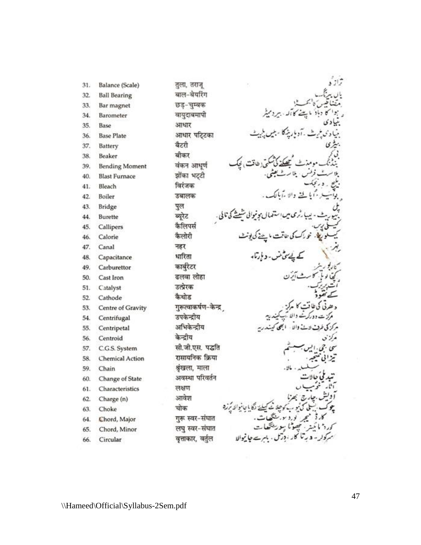| 31. | Balance (Scale)        | तुला, तराज्           |  |
|-----|------------------------|-----------------------|--|
| 32. | <b>Ball Bearing</b>    | बाल-बेयरिंग           |  |
| 33. | Bar magnet             | छड्-चुम्बक            |  |
| 34. | Barometer              | वायुदाबमापी           |  |
| 35. | Base                   | आधार                  |  |
| 36. | <b>Base Plate</b>      | आधार पटिटका           |  |
| 37. | Battery                | बैटरी                 |  |
| 38. | Beaker                 | बीकर                  |  |
| 39. | <b>Bending Moment</b>  | वंकन आधुण             |  |
| 40. | <b>Blast Furnace</b>   | झोंका भट्टी           |  |
| 41. | Bleach                 | विरंजक                |  |
| 42. | Boiler                 | उबालक                 |  |
| 43. | Bridge                 | पुल                   |  |
| 44. | Burette                | ब्यूरेट               |  |
| 45. | Callipers              | कैलिपर्स              |  |
| 46. | Calorie                | कैलोरी                |  |
| 47. | Canal                  | नहर                   |  |
| 48. | Capacitance            | धारिता                |  |
| 49. | Carburettor            | कार्बुरेटर            |  |
| 50. | Cast Iron              | ढलवा लोहा             |  |
| 51. | Catalyst               | उत्प्रेरक             |  |
| 52. | Cathode                | कैथोड                 |  |
| 53. | Centre of Gravity      | गुरूत्वाकर्षण-केन्द्र |  |
| 54. | Centrifugal            | उपकेन्द्रीय           |  |
| 55. | Centripetal            | अभिकेन्द्रीय          |  |
| 56. | Centroid               | केन्द्रीय             |  |
| 57. | C.G.S. System          | सी.जी.एस. पद्धति      |  |
| 58. | <b>Chemical Action</b> | रासायनिक क्रिया       |  |
| 59. | Chain                  | श्रृंखला, माला        |  |
| 60. | Change of State        | अवस्था परिवर्तन       |  |
| 61. | Characteristics        | लक्षण                 |  |
| 62. | Charge (n)             | आवेश                  |  |
| 63. | Choke                  | चोक                   |  |
| 64. | Chord, Major           | गुरू स्वर-संघात       |  |
| 65. | Chord, Minor           | लघु स्वर-संघात        |  |
| 66. | Circular               | वृत्ताकार, वर्तुल     |  |
|     |                        |                       |  |

ن<sub>ە</sub>كى پونى<u>ش</u> نوا ، د بارتا، र्षण-केन्द्र 6 ابھی فينت والله -مركزد مرکز ګا HL دافلا در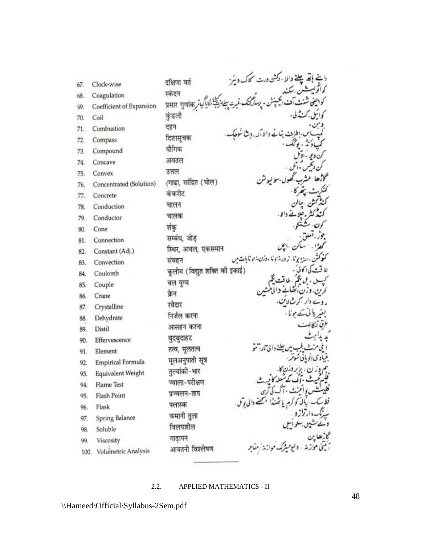| 67.  | Clock-wise               | الا - دکشن درت کلاک دا<br>दक्षिणा वर्त |
|------|--------------------------|----------------------------------------|
| 68.  | Coagulation              | स्कंदन                                 |
| 69.  | Coefficient of Expansion | प्रसार गुणांक                          |
| 70.  | Coil                     | कुंडली                                 |
| 71.  | Combustion               | दहन                                    |
| 72.  | Compass                  | दिशासूचक                               |
| 73.  | Compound                 | यौगिक                                  |
| 74.  | Concave                  | अवतल                                   |
| 75.  | Convex                   | उत्तल                                  |
| 76.  | Concentrated (Solution)  | (गाढ़ा, सांद्रित (घोल)                 |
| 77.  | Concrete                 | कंकरीट                                 |
| 78.  | Conduction               | चालन                                   |
|      | Conductor                | चालक                                   |
| 79.  |                          | शंकु                                   |
| 80.  | Cone<br>Connection       | सम्बंध, जोड़                           |
| 81.  |                          | स्थिर, अचल, एकसमान                     |
| 82.  | Constant (Adj.)          | نا ماذرن بزنونا بات میں<br>संवहन       |
| 83.  | Convection               | कूलोम (विद्युत शक्ति को इकाई)          |
| 84.  | Coulomb                  | बल युग्म                               |
| 85.  | Couple                   | क्रेन                                  |
| 86.  | Crane                    | شالات.<br>रवेदार                       |
| 87.  | Crystalline              | निर्जल करना                            |
| 88.  | Dehydrate                |                                        |
| 89.  | Distil                   | आसहन करना                              |
| 90.  | Effervescence            | बुदबुदाहट                              |
| 91.  | Element                  | तत्व, मूलतत्व                          |
| 92.  | <b>Empirical Formula</b> | मूलअनुपाती सूत्र                       |
| 93.  | Equivalent Weight        | तुल्यांको-भार                          |
| 94.  | <b>Flame Test</b>        | ज्वाला-परीक्षण                         |
| 95.  | Flash Point              | प्रञ्चलन-ताप                           |
| 96.  | Flask                    | फ्लास्क                                |
| 97.  | <b>Spring Balance</b>    | कमानी तुला                             |
| 98.  | Soluble                  | विलयशील                                |
| 99.  | Viscosity                | गाढापन                                 |
| 100. | Volumetric Analysis      | आयतनी विश्लेषण                         |

# 2.2. APPLIED MATHEMATICS - II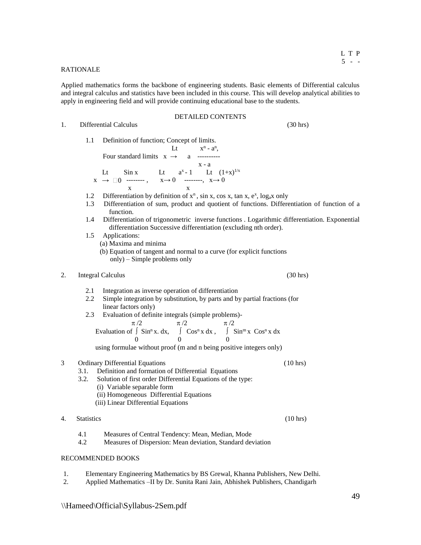# RATIONALE

Applied mathematics forms the backbone of engineering students. Basic elements of Differential calculus and integral calculus and statistics have been included in this course. This will develop analytical abilities to apply in engineering field and will provide continuing educational base to the students.

#### DETAILED CONTENTS

1. Differential Calculus (30 hrs)

1.1 Definition of function; Concept of limits. Lt x  $n - a^n$ , Four standard limits  $x \rightarrow a$  ----------

$$
\begin{array}{cccc}\n & x-a \\
x & \to & \Box 0 \xrightarrow{\text{...}} & \text{...} & x \rightarrow 0 \\
 & x & \to & \text{...} & x \rightarrow 0 \\
 & x & \text{...} & x\n\end{array}
$$

- 1.2 Differentiation by definition of  $x^n$ , sin x, cos x, tan x,  $e^x$ , log<sub>a</sub>x only
- 1.3 Differentiation of sum, product and quotient of functions. Differentiation of function of a function.
- 1.4 Differentiation of trigonometric inverse functions . Logarithmic differentiation. Exponential differentiation Successive differentiation (excluding nth order).
- 1.5 Applications:
	- (a) Maxima and minima
	- (b) Equation of tangent and normal to a curve (for explicit functions only) – Simple problems only
- 2. Integral Calculus (30 hrs) (30 hrs)
	- 2.1 Integration as inverse operation of differentiation
	- 2.2 Simple integration by substitution, by parts and by partial fractions (for linear factors only)
- 2.3 Evaluation of definite integrals (simple problems)-  $\pi/2$   $\pi/2$   $\pi/2$ Evaluation of  $\int$  Sin<sup>n</sup>x. dx,  $\int$  Cos<sup>n</sup>x dx,  $\int$  Sin<sup>m</sup>x Cos<sup>n</sup>x dx  $0 \qquad \qquad 0 \qquad \qquad 0$

using formulae without proof (m and n being positive integers only)

# 3 Ordinary Differential Equations (10 hrs)

- 3.1. Definition and formation of Differential Equations
	- 3.2. Solution of first order Differential Equations of the type:
		- (i) Variable separable form
		- (ii) Homogeneous Differential Equations
		- (iii) Linear Differential Equations
- 4. Statistics (10 hrs)

- 4.1 Measures of Central Tendency: Mean, Median, Mode
- 4.2 Measures of Dispersion: Mean deviation, Standard deviation

- 1. Elementary Engineering Mathematics by BS Grewal, Khanna Publishers, New Delhi.
- 2. Applied Mathematics –II by Dr. Sunita Rani Jain, Abhishek Publishers, Chandigarh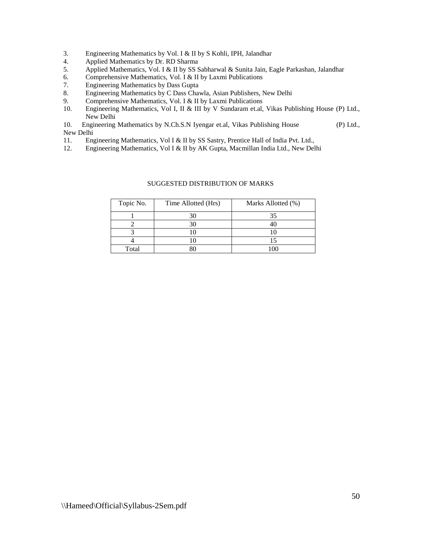- 3. Engineering Mathematics by Vol. I & II by S Kohli, IPH, Jalandhar 4. Applied Mathematics by Dr. RD Sharma
- 4. Applied Mathematics by Dr. RD Sharma
- 5. Applied Mathematics, Vol. I & II by SS Sabharwal & Sunita Jain, Eagle Parkashan, Jalandhar
- 6. Comprehensive Mathematics, Vol. I & II by Laxmi Publications
- 7. Engineering Mathematics by Dass Gupta
- 8. Engineering Mathematics by C Dass Chawla, Asian Publishers, New Delhi
- 9. Comprehensive Mathematics, Vol. I & II by Laxmi Publications
- 10. Engineering Mathematics, Vol I, II & III by V Sundaram et.al, Vikas Publishing House (P) Ltd., New Delhi

10. Engineering Mathematics by N.Ch.S.N Iyengar et.al, Vikas Publishing House (P) Ltd., New Delhi

- 11. Engineering Mathematics, Vol I & II by SS Sastry, Prentice Hall of India Pvt. Ltd.,
- 12. Engineering Mathematics, Vol I & II by AK Gupta, Macmillan India Ltd., New Delhi

| Topic No. | Time Allotted (Hrs) | Marks Allotted (%) |
|-----------|---------------------|--------------------|
|           | 30                  |                    |
|           |                     |                    |
|           |                     |                    |
|           |                     |                    |
| Total     |                     |                    |

#### SUGGESTED DISTRIBUTION OF MARKS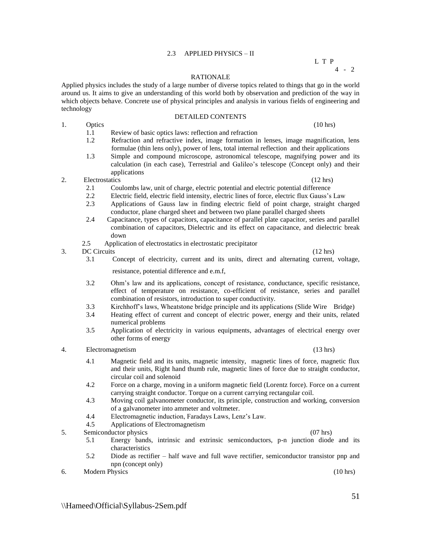# 2.3 APPLIED PHYSICS – II

# L T P

# 4 - 2

# RATIONALE

Applied physics includes the study of a large number of diverse topics related to things that go in the world around us. It aims to give an understanding of this world both by observation and prediction of the way in which objects behave. Concrete use of physical principles and analysis in various fields of engineering and technology DETAILED CONTENTS

- 
- 1. Optics (10 hrs)

1.1 Review of basic optics laws: reflection and refraction

- 1.2 Refraction and refractive index, image formation in lenses, image magnification, lens formulae (thin lens only), power of lens, total internal reflection and their applications
- 1.3 Simple and compound microscope, astronomical telescope, magnifying power and its calculation (in each case), Terrestrial and Galileo's telescope (Concept only) and their applications
- 2. Electrostatics (12 hrs)
	- 2.1 Coulombs law, unit of charge, electric potential and electric potential difference
	- 2.2 Electric field, electric field intensity, electric lines of force, electric flux Gauss's Law
	- 2.3 Applications of Gauss law in finding electric field of point charge, straight charged conductor, plane charged sheet and between two plane parallel charged sheets
	- 2.4 Capacitance, types of capacitors, capacitance of parallel plate capacitor, series and parallel combination of capacitors, Dielectric and its effect on capacitance, and dielectric break down
	- 2.5 Application of electrostatics in electrostatic precipitator
- 3. DC Circuits  $(12 \text{ hrs})$ 
	- 3.1 Concept of electricity, current and its units, direct and alternating current, voltage,

resistance, potential difference and e.m.f,

- 3.2 Ohm's law and its applications, concept of resistance, conductance, specific resistance, effect of temperature on resistance, co-efficient of resistance, series and parallel combination of resistors, introduction to super conductivity.
- 3.3 Kirchhoff's laws, Wheatstone bridge principle and its applications (Slide Wire Bridge)
- 3.4 Heating effect of current and concept of electric power, energy and their units, related numerical problems
- 3.5 Application of electricity in various equipments, advantages of electrical energy over other forms of energy
- 4. Electromagnetism (13 hrs)

- 4.1 Magnetic field and its units, magnetic intensity, magnetic lines of force, magnetic flux and their units, Right hand thumb rule, magnetic lines of force due to straight conductor, circular coil and solenoid
- 4.2 Force on a charge, moving in a uniform magnetic field (Lorentz force). Force on a current carrying straight conductor. Torque on a current carrying rectangular coil.
- 4.3 Moving coil galvanometer conductor, its principle, construction and working, conversion of a galvanometer into ammeter and voltmeter.
- 4.4 Electromagnetic induction, Faradays Laws, Lenz's Law.
- 4.5 Applications of Electromagnetism
- 5. Semiconductor physics (07 hrs)
	- 5.1 Energy bands, intrinsic and extrinsic semiconductors, p-n junction diode and its characteristics
	- 5.2 Diode as rectifier half wave and full wave rectifier, semiconductor transistor pnp and npn (concept only)
- 6. Modern Physics (10 hrs)

51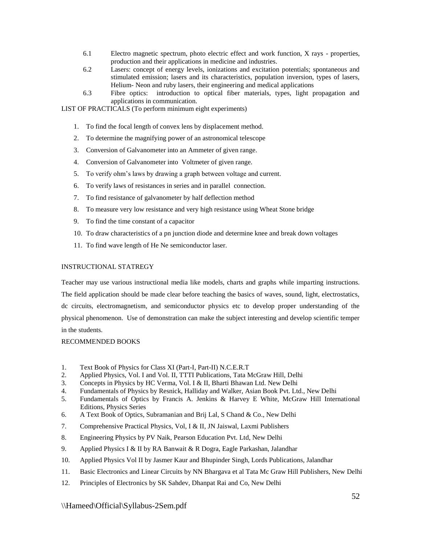- 6.1 Electro magnetic spectrum, photo electric effect and work function, X rays properties, production and their applications in medicine and industries.
- 6.2 Lasers: concept of energy levels, ionizations and excitation potentials; spontaneous and stimulated emission; lasers and its characteristics, population inversion, types of lasers, Helium- Neon and ruby lasers, their engineering and medical applications
- 6.3 Fibre optics: introduction to optical fiber materials, types, light propagation and applications in communication.

LIST OF PRACTICALS (To perform minimum eight experiments)

- 1. To find the focal length of convex lens by displacement method.
- 2. To determine the magnifying power of an astronomical telescope
- 3. Conversion of Galvanometer into an Ammeter of given range.
- 4. Conversion of Galvanometer into Voltmeter of given range.
- 5. To verify ohm's laws by drawing a graph between voltage and current.
- 6. To verify laws of resistances in series and in parallel connection.
- 7. To find resistance of galvanometer by half deflection method
- 8. To measure very low resistance and very high resistance using Wheat Stone bridge
- 9. To find the time constant of a capacitor
- 10. To draw characteristics of a pn junction diode and determine knee and break down voltages
- 11. To find wave length of He Ne semiconductor laser.

# INSTRUCTIONAL STATREGY

Teacher may use various instructional media like models, charts and graphs while imparting instructions. The field application should be made clear before teaching the basics of waves, sound, light, electrostatics, dc circuits, electromagnetism, and semiconductor physics etc to develop proper understanding of the physical phenomenon. Use of demonstration can make the subject interesting and develop scientific temper in the students.

- 1. Text Book of Physics for Class XI (Part-I, Part-II) N.C.E.R.T
- 2. Applied Physics, Vol. I and Vol. II, TTTI Publications, Tata McGraw Hill, Delhi
- 3. Concepts in Physics by HC Verma, Vol. I & II, Bharti Bhawan Ltd. New Delhi
- 4. Fundamentals of Physics by Resnick, Halliday and Walker, Asian Book Pvt. Ltd., New Delhi
- 5. Fundamentals of Optics by Francis A. Jenkins & Harvey E White, McGraw Hill International Editions, Physics Series
- 6. A Text Book of Optics, Subramanian and Brij Lal, S Chand & Co., New Delhi
- 7. Comprehensive Practical Physics, Vol, I & II, JN Jaiswal, Laxmi Publishers
- 8. Engineering Physics by PV Naik, Pearson Education Pvt. Ltd, New Delhi
- 9. Applied Physics I & II by RA Banwait & R Dogra, Eagle Parkashan, Jalandhar
- 10. Applied Physics Vol II by Jasmer Kaur and Bhupinder Singh, Lords Publications, Jalandhar
- 11. Basic Electronics and Linear Circuits by NN Bhargava et al Tata Mc Graw Hill Publishers, New Delhi
- 12. Principles of Electronics by SK Sahdev, Dhanpat Rai and Co, New Delhi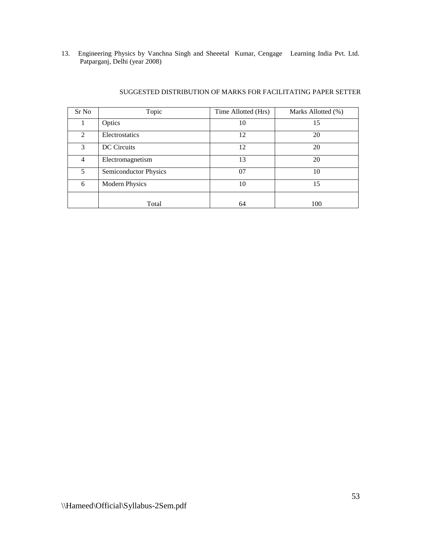13. Engineering Physics by Vanchna Singh and Sheeetal Kumar, Cengage Learning India Pvt. Ltd. Patparganj, Delhi (year 2008)

| Sr No          | Topic                        | Time Allotted (Hrs) | Marks Allotted (%) |
|----------------|------------------------------|---------------------|--------------------|
|                | Optics                       | 10                  | 15                 |
| $\mathfrak{D}$ | Electrostatics               | 12                  | 20                 |
| 3              | DC Circuits                  | 12                  | 20                 |
| 4              | Electromagnetism             | 13                  | 20                 |
| 5              | <b>Semiconductor Physics</b> | 07                  | 10                 |
| 6              | <b>Modern Physics</b>        | 10                  | 15                 |
|                | Total                        | 64                  | 100                |

# SUGGESTED DISTRIBUTION OF MARKS FOR FACILITATING PAPER SETTER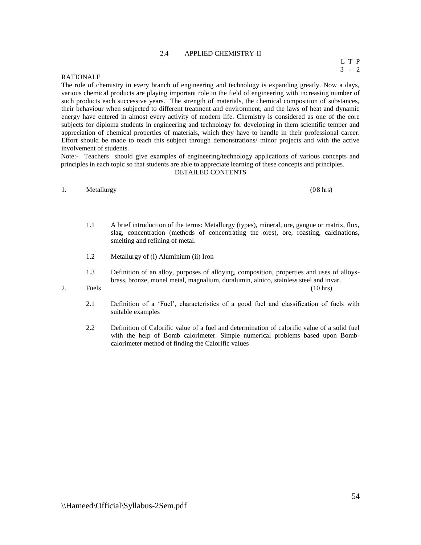# 2.4 APPLIED CHEMISTRY-II

#### RATIONALE

The role of chemistry in every branch of engineering and technology is expanding greatly. Now a days, various chemical products are playing important role in the field of engineering with increasing number of such products each successive years. The strength of materials, the chemical composition of substances, their behaviour when subjected to different treatment and environment, and the laws of heat and dynamic energy have entered in almost every activity of modern life. Chemistry is considered as one of the core subjects for diploma students in engineering and technology for developing in them scientific temper and appreciation of chemical properties of materials, which they have to handle in their professional career. Effort should be made to teach this subject through demonstrations/ minor projects and with the active involvement of students.

Note:- Teachers should give examples of engineering/technology applications of various concepts and principles in each topic so that students are able to appreciate learning of these concepts and principles.

#### DETAILED CONTENTS

# 1. Metallurgy (08 hrs) (08 hrs)

- 1.1 A brief introduction of the terms: Metallurgy (types), mineral, ore, gangue or matrix, flux, slag, concentration (methods of concentrating the ores), ore, roasting, calcinations, smelting and refining of metal.
- 1.2 Metallurgy of (i) Aluminium (ii) Iron
- 1.3 Definition of an alloy, purposes of alloying, composition, properties and uses of alloysbrass, bronze, monel metal, magnalium, duralumin, alnico, stainless steel and invar.

#### 2. Fuels  $(10 \text{ hrs})$  and  $(10 \text{ hrs})$

- 2.1 Definition of a 'Fuel', characteristics of a good fuel and classification of fuels with suitable examples
- 2.2 Definition of Calorific value of a fuel and determination of calorific value of a solid fuel with the help of Bomb calorimeter. Simple numerical problems based upon Bombcalorimeter method of finding the Calorific values

54

L T P 3 - 2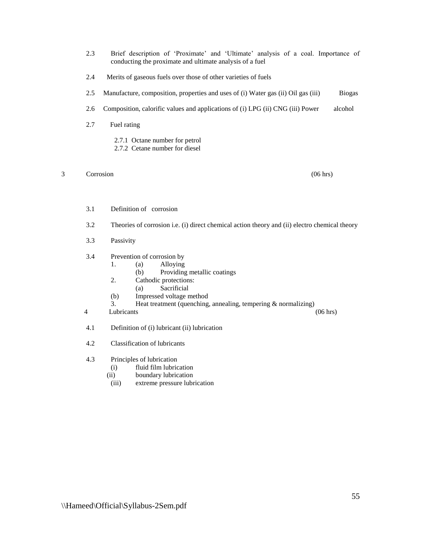- 2.3 Brief description of 'Proximate' and 'Ultimate' analysis of a coal. Importance of conducting the proximate and ultimate analysis of a fuel
- 2.4 Merits of gaseous fuels over those of other varieties of fuels
- 2.5 Manufacture, composition, properties and uses of (i) Water gas (ii) Oil gas (iii) Biogas
- 2.6 Composition, calorific values and applications of (i) LPG (ii) CNG (iii) Power alcohol
- 2.7 Fuel rating
	- 2.7.1 Octane number for petrol
	- 2.7.2 Cetane number for diesel

# 3 Corrosion (06 hrs)

- 3.1 Definition of corrosion
- 3.2 Theories of corrosion i.e. (i) direct chemical action theory and (ii) electro chemical theory
- 3.3 Passivity
- 3.4 Prevention of corrosion by
	- 1. (a) Alloying
	- (b) Providing metallic coatings
	- 2. Cathodic protections:
		- (a) Sacrificial
	- (b) Impressed voltage method
	- 3. Heat treatment (quenching, annealing, tempering & normalizing)
- 4 Lubricants (06 hrs)
- 4.1 Definition of (i) lubricant (ii) lubrication
- 4.2 Classification of lubricants
- 4.3 Principles of lubrication
	- (i) fluid film lubrication
	- (ii) boundary lubrication
	- (iii) extreme pressure lubrication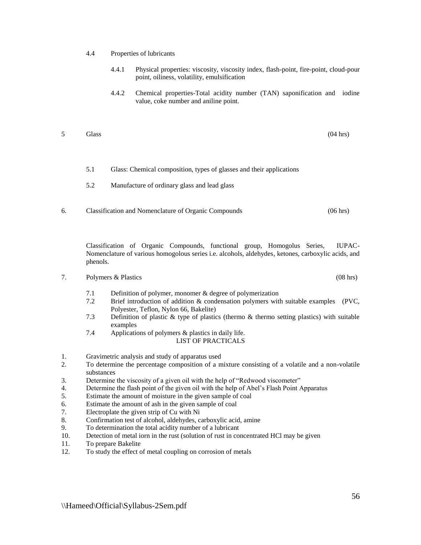- 4.4 Properties of lubricants
	- 4.4.1 Physical properties: viscosity, viscosity index, flash-point, fire-point, cloud-pour point, oiliness, volatility, emulsification
	- 4.4.2 Chemical properties-Total acidity number (TAN) saponification and iodine value, coke number and aniline point.
- 5 Glass (04 hrs) 5 Glass (05 hrs) 6 Glass (05 hrs) 6 Glass (04 hrs) 6 Glass (04 hrs) 6 Glass (04 hrs) 6 Glass (04 hrs) 6 Glass (04 hrs) 6 Glass (04 hrs) 6 Glass (04 hrs) 6 Glass (04 hrs) 6 Glass (04 hrs) 6 Glass (04 hrs) 6
	- 5.1 Glass: Chemical composition, types of glasses and their applications
	- 5.2 Manufacture of ordinary glass and lead glass
- 6. Classification and Nomenclature of Organic Compounds (06 hrs)

Classification of Organic Compounds, functional group, Homogolus Series, IUPAC-Nomenclature of various homogolous series i.e. alcohols, aldehydes, ketones, carboxylic acids, and phenols.

#### 7. Polymers & Plastics (08 hrs)

- 7.1 Definition of polymer, monomer & degree of polymerization
- 7.2 Brief introduction of addition & condensation polymers with suitable examples (PVC, Polyester, Teflon, Nylon 66, Bakelite)
- 7.3 Definition of plastic & type of plastics (thermo & thermo setting plastics) with suitable examples
- 7.4 Applications of polymers & plastics in daily life. LIST OF PRACTICALS
- 1. Gravimetric analysis and study of apparatus used
- 2. To determine the percentage composition of a mixture consisting of a volatile and a non-volatile substances
- 3. Determine the viscosity of a given oil with the help of "Redwood viscometer"
- 4. Determine the flash point of the given oil with the help of Abel's Flash Point Apparatus
- 5. Estimate the amount of moisture in the given sample of coal
- 6. Estimate the amount of ash in the given sample of coal
- 7. Electroplate the given strip of Cu with Ni
- 8. Confirmation test of alcohol, aldehydes, carboxylic acid, amine
- 9. To determination the total acidity number of a lubricant
- 10. Detection of metal iorn in the rust (solution of rust in concentrated HCl may be given
- 11. To prepare Bakelite
- 12. To study the effect of metal coupling on corrosion of metals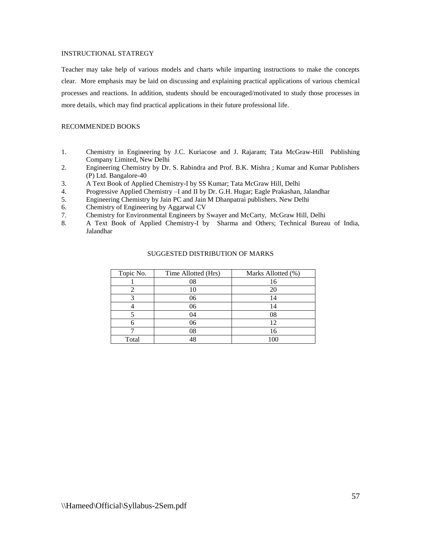# INSTRUCTIONAL STATREGY

Teacher may take help of various models and charts while imparting instructions to make the concepts clear. More emphasis may be laid on discussing and explaining practical applications of various chemical processes and reactions. In addition, students should be encouraged/motivated to study those processes in more details, which may find practical applications in their future professional life.

# RECOMMENDED BOOKS

- 1. Chemistry in Engineering by J.C. Kuriacose and J. Rajaram; Tata McGraw-Hill Publishing Company Limited, New Delhi
- 2. Engineering Chemistry by Dr. S. Rabindra and Prof. B.K. Mishra ; Kumar and Kumar Publishers (P) Ltd. Bangalore-40
- 3. A Text Book of Applied Chemistry-I by SS Kumar; Tata McGraw Hill, Delhi
- 4. Progressive Applied Chemistry –I and II by Dr. G.H. Hugar; Eagle Prakashan, Jalandhar
- 5. Engineering Chemistry by Jain PC and Jain M Dhanpatrai publishers. New Delhi
- 6. Chemistry of Engineering by Aggarwal CV
- 7. Chemistry for Environmental Engineers by Swayer and McCarty, McGraw Hill, Delhi
- 8. A Text Book of Applied Chemistry-I by Sharma and Others; Technical Bureau of India, Jalandhar

| Topic No. | Time Allotted (Hrs) | Marks Allotted (%) |
|-----------|---------------------|--------------------|
|           | 08                  |                    |
|           | 10                  |                    |
|           | 06                  |                    |
|           | 06                  |                    |
|           | 04                  |                    |
|           | 06                  |                    |
|           | 08                  |                    |
| Total     |                     | 100                |

# SUGGESTED DISTRIBUTION OF MARKS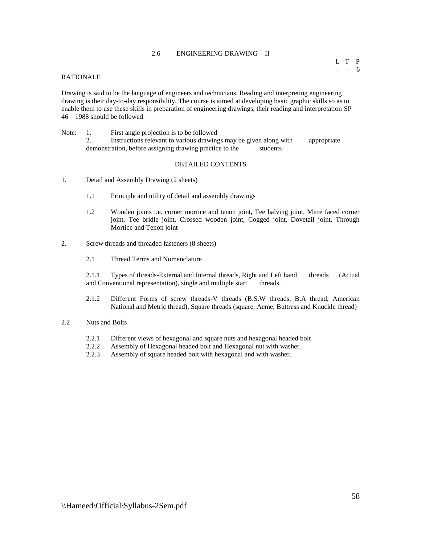# 2.6 ENGINEERING DRAWING – II

# RATIONALE

Drawing is said to be the language of engineers and technicians. Reading and interpreting engineering drawing is their day-to-day responsibility. The course is aimed at developing basic graphic skills so as to enable them to use these skills in preparation of engineering drawings, their reading and interpretation SP 46 – 1988 should be followed

Note: 1. First angle projection is to be followed 2. Instructions relevant to various drawings may be given along with appropriate demonstration, before assigning drawing practice to the students

#### DETAILED CONTENTS

- 1. Detail and Assembly Drawing (2 sheets)
	- 1.1 Principle and utility of detail and assembly drawings
	- 1.2 Wooden joints i.e. corner mortice and tenon joint, Tee halving joint, Mitre faced corner joint, Tee bridle joint, Crossed wooden joint, Cogged joint, Dovetail joint, Through Mortice and Tenon joint
- 2. Screw threads and threaded fasteners (8 sheets)
	- 2.1 Thread Terms and Nomenclature

2.1.1 Types of threads-External and Internal threads, Right and Left hand threads (Actual and Conventional representation), single and multiple start threads.

- 2.1.2 Different Forms of screw threads-V threads (B.S.W threads, B.A thread, American National and Metric thread), Square threads (square, Acme, Buttress and Knuckle thread)
- 2.2 Nuts and Bolts
	- 2.2.1 Different views of hexagonal and square nuts and hexagonal headed bolt
	- 2.2.2 Assembly of Hexagonal headed bolt and Hexagonal nut with washer.
	- 2.2.3 Assembly of square headed bolt with hexagonal and with washer.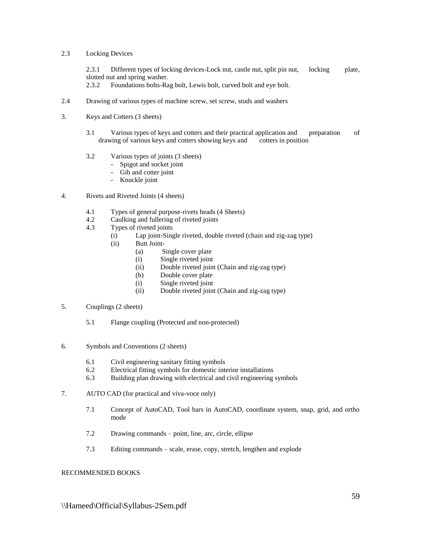# 2.3 Locking Devices

2.3.1 Different types of locking devices-Lock nut, castle nut, split pin nut, locking plate, slotted nut and spring washer.

2.3.2 Foundations bolts-Rag bolt, Lewis bolt, curved bolt and eye bolt.

- 2.4 Drawing of various types of machine screw, set screw, studs and washers
- 3. Keys and Cotters (3 sheets)
	- 3.1 Various types of keys and cotters and their practical application and preparation of drawing of various keys and cotters showing keys and cotters in position
	- 3.2 Various types of joints (3 sheets)
		- Spigot and socket joint
		- Gib and cotter joint
		- Knuckle joint
- 4. Rivets and Riveted Joints (4 sheets)
	- 4.1 Types of general purpose-rivets heads (4 Sheets)
	- 4.2 Caulking and fullering of riveted joints
	- 4.3 Types of riveted joints
		- (i) Lap joint-Single riveted, double riveted (chain and zig-zag type)
		- (ii) Butt Joint-
			- (a) Single cover plate
			- (i) Single riveted joint
			- (ii) Double riveted joint (Chain and zig-zag type)
			- (b) Double cover plate
			- (i) Single riveted joint
			- (ii) Double riveted joint (Chain and zig-zag type)
- 5. Couplings (2 sheets)
	- 5.1 Flange coupling (Protected and non-protected)
- 6. Symbols and Conventions (2 sheets)
	- 6.1 Civil engineering sanitary fitting symbols
	- 6.2 Electrical fitting symbols for domestic interior installations
	- 6.3 Building plan drawing with electrical and civil engineering symbols
- 7. AUTO CAD (for practical and viva-voce only)
	- 7.1 Concept of AutoCAD, Tool bars in AutoCAD, coordinate system, snap, grid, and ortho mode
	- 7.2 Drawing commands point, line, arc, circle, ellipse
	- 7.3 Editing commands scale, erase, copy, stretch, lengthen and explode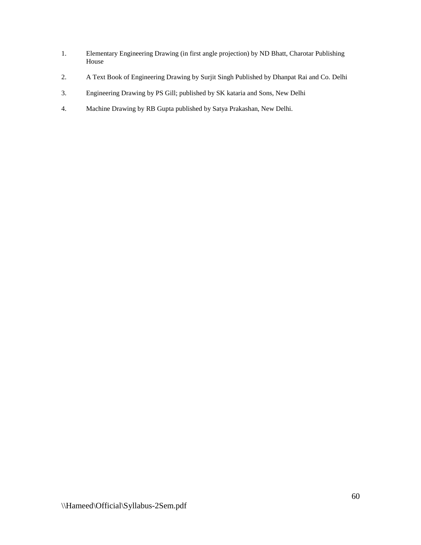- 1. Elementary Engineering Drawing (in first angle projection) by ND Bhatt, Charotar Publishing House
- 2. A Text Book of Engineering Drawing by Surjit Singh Published by Dhanpat Rai and Co. Delhi
- 3. Engineering Drawing by PS Gill; published by SK kataria and Sons, New Delhi
- 4. Machine Drawing by RB Gupta published by Satya Prakashan, New Delhi.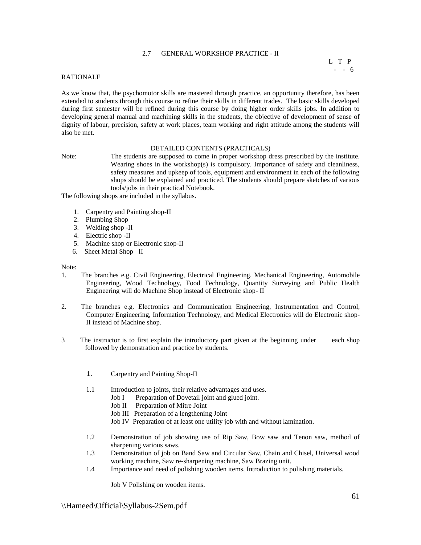# 2.7 GENERAL WORKSHOP PRACTICE - II

# RATIONALE

As we know that, the psychomotor skills are mastered through practice, an opportunity therefore, has been extended to students through this course to refine their skills in different trades. The basic skills developed during first semester will be refined during this course by doing higher order skills jobs. In addition to developing general manual and machining skills in the students, the objective of development of sense of dignity of labour, precision, safety at work places, team working and right attitude among the students will also be met.

#### DETAILED CONTENTS (PRACTICALS)

Note: The students are supposed to come in proper workshop dress prescribed by the institute. Wearing shoes in the workshop(s) is compulsory. Importance of safety and cleanliness, safety measures and upkeep of tools, equipment and environment in each of the following shops should be explained and practiced. The students should prepare sketches of various tools/jobs in their practical Notebook.

The following shops are included in the syllabus.

- 1. Carpentry and Painting shop-II
- 2. Plumbing Shop
- 3. Welding shop -II
- 4. Electric shop -II
- 5. Machine shop or Electronic shop-II
- 6. Sheet Metal Shop –II

#### Note:

- 1. The branches e.g. Civil Engineering, Electrical Engineering, Mechanical Engineering, Automobile Engineering, Wood Technology, Food Technology, Quantity Surveying and Public Health Engineering will do Machine Shop instead of Electronic shop- II
- 2. The branches e.g. Electronics and Communication Engineering, Instrumentation and Control, Computer Engineering, Information Technology, and Medical Electronics will do Electronic shop-II instead of Machine shop.
- 3 The instructor is to first explain the introductory part given at the beginning under each shop followed by demonstration and practice by students.
	- 1. Carpentry and Painting Shop-II
	- 1.1 Introduction to joints, their relative advantages and uses.
		- Job I Preparation of Dovetail joint and glued joint.
		- Job II Preparation of Mitre Joint
		- Job III Preparation of a lengthening Joint
		- Job IV Preparation of at least one utility job with and without lamination.
	- 1.2 Demonstration of job showing use of Rip Saw, Bow saw and Tenon saw, method of sharpening various saws.
	- 1.3 Demonstration of job on Band Saw and Circular Saw, Chain and Chisel, Universal wood working machine, Saw re-sharpening machine, Saw Brazing unit.
	- 1.4 Importance and need of polishing wooden items, Introduction to polishing materials.

Job V Polishing on wooden items.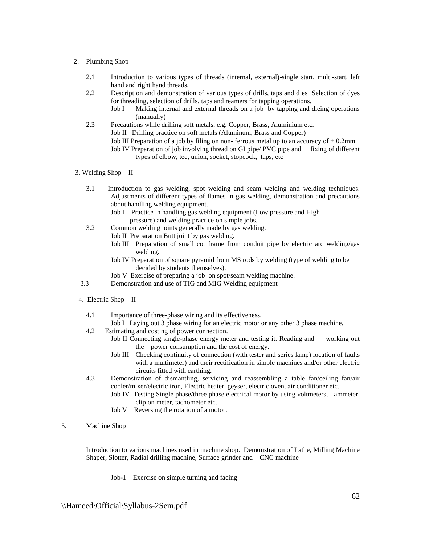#### 2. Plumbing Shop

- 2.1 Introduction to various types of threads (internal, external)-single start, multi-start, left hand and right hand threads.
- 2.2 Description and demonstration of various types of drills, taps and dies Selection of dyes for threading, selection of drills, taps and reamers for tapping operations.
	- Job I Making internal and external threads on a job by tapping and dieing operations (manually)
- 2.3 Precautions while drilling soft metals, e.g. Copper, Brass, Aluminium etc. Job II Drilling practice on soft metals (Aluminum, Brass and Copper) Job III Preparation of a job by filing on non- ferrous metal up to an accuracy of  $\pm$  0.2mm Job IV Preparation of job involving thread on GI pipe/ PVC pipe and fixing of different
	- types of elbow, tee, union, socket, stopcock, taps, etc
- 3. Welding Shop II
	- 3.1 Introduction to gas welding, spot welding and seam welding and welding techniques. Adjustments of different types of flames in gas welding, demonstration and precautions about handling welding equipment.
		- Job I Practice in handling gas welding equipment (Low pressure and High pressure) and welding practice on simple jobs.
	- 3.2 Common welding joints generally made by gas welding.
		- Job II Preparation Butt joint by gas welding.
		- Job III Preparation of small cot frame from conduit pipe by electric arc welding/gas welding.
		- Job IV Preparation of square pyramid from MS rods by welding (type of welding to be decided by students themselves).
		- Job V Exercise of preparing a job on spot/seam welding machine.
	- 3.3 Demonstration and use of TIG and MIG Welding equipment
- 4. Electric Shop II
	- 4.1 Importance of three-phase wiring and its effectiveness.
		- Job I Laying out 3 phase wiring for an electric motor or any other 3 phase machine.
	- 4.2 Estimating and costing of power connection.
		- Job II Connecting single-phase energy meter and testing it. Reading and working out the power consumption and the cost of energy.
		- Job III Checking continuity of connection (with tester and series lamp) location of faults with a multimeter) and their rectification in simple machines and/or other electric circuits fitted with earthing.
	- 4.3 Demonstration of dismantling, servicing and reassembling a table fan/ceiling fan/air cooler/mixer/electric iron, Electric heater, geyser, electric oven, air conditioner etc.
		- Job IV Testing Single phase/three phase electrical motor by using voltmeters, ammeter, clip on meter, tachometer etc.
		- Job V Reversing the rotation of a motor.
- 5. Machine Shop

Introduction to various machines used in machine shop. Demonstration of Lathe, Milling Machine Shaper, Slotter, Radial drilling machine, Surface grinder and CNC machine

Job-1 Exercise on simple turning and facing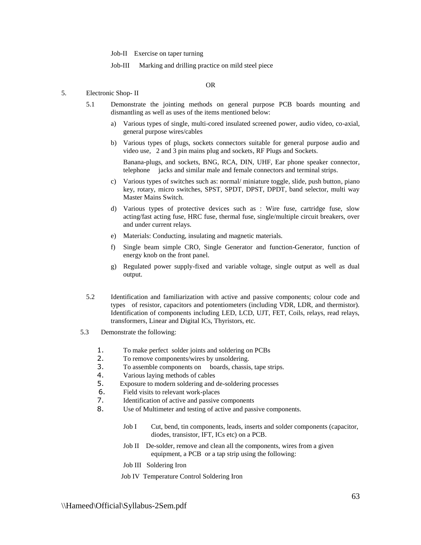Job-II Exercise on taper turning

Job-III Marking and drilling practice on mild steel piece

# OR

#### 5. Electronic Shop- II

- 5.1 Demonstrate the jointing methods on general purpose PCB boards mounting and dismantling as well as uses of the items mentioned below:
	- a) Various types of single, multi-cored insulated screened power, audio video, co-axial, general purpose wires/cables
	- b) Various types of plugs, sockets connectors suitable for general purpose audio and video use, 2 and 3 pin mains plug and sockets, RF Plugs and Sockets.

Banana-plugs, and sockets, BNG, RCA, DIN, UHF, Ear phone speaker connector, telephone jacks and similar male and female connectors and terminal strips.

- c) Various types of switches such as: normal/ miniature toggle, slide, push button, piano key, rotary, micro switches, SPST, SPDT, DPST, DPDT, band selector, multi way Master Mains Switch.
- d) Various types of protective devices such as : Wire fuse, cartridge fuse, slow acting/fast acting fuse, HRC fuse, thermal fuse, single/multiple circuit breakers, over and under current relays.
- e) Materials: Conducting, insulating and magnetic materials.
- f) Single beam simple CRO, Single Generator and function-Generator, function of energy knob on the front panel.
- g) Regulated power supply-fixed and variable voltage, single output as well as dual output.
- 5.2 Identification and familiarization with active and passive components; colour code and types of resistor, capacitors and potentiometers (including VDR, LDR, and thermistor). Identification of components including LED, LCD, UJT, FET, Coils, relays, read relays, transformers, Linear and Digital ICs, Thyristors, etc.
- 5.3 Demonstrate the following:
	- 1. To make perfect solder joints and soldering on PCBs
	- 2. To remove components/wires by unsoldering.
	- 3. To assemble components on boards, chassis, tape strips.
	- 4. Various laying methods of cables
	- 5. Exposure to modern soldering and de-soldering processes
	- 6. Field visits to relevant work-places
	- 7. Identification of active and passive components
	- 8. Use of Multimeter and testing of active and passive components.
		- Job I Cut, bend, tin components, leads, inserts and solder components (capacitor, diodes, transistor, IFT, ICs etc) on a PCB.
		- Job II De-solder, remove and clean all the components, wires from a given equipment, a PCB or a tap strip using the following:
		- Job III Soldering Iron
		- Job IV Temperature Control Soldering Iron